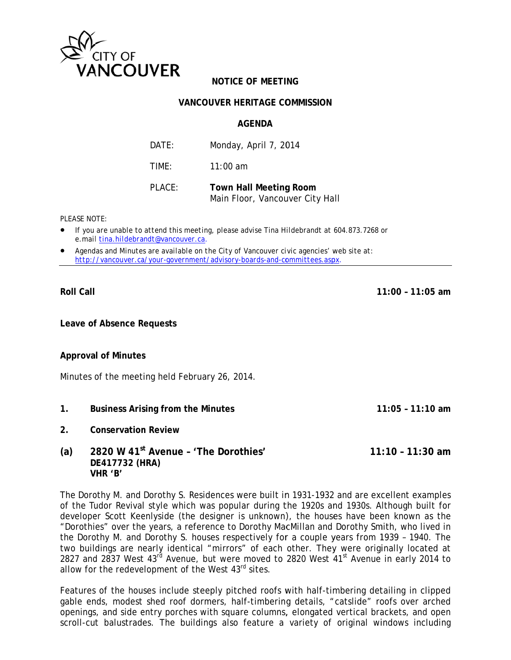

## **NOTICE OF MEETING**

## **VANCOUVER HERITAGE COMMISSION**

### **AGFNDA**

| DATF:  | Monday, April 7, 2014                                            |
|--------|------------------------------------------------------------------|
| TIME:  | $11:00$ am                                                       |
| PLACE: | <b>Town Hall Meeting Room</b><br>Main Floor, Vancouver City Hall |

PI FASE NOTE:

- If you are unable to attend this meeting, please advise Tina Hildebrandt at 604.873.7268 or e.mail tina.hildebrandt@vancouver.ca.
- Agendas and Minutes are available on the City of Vancouver civic agencies' web site at: http://vancouver.ca/your-government/advisory-boards-and-committees.aspx.

**Roll Call** 

 $11:00 - 11:05$  am

Leave of Absence Requests

## **Approval of Minutes**

Minutes of the meeting held February 26, 2014.

 $1.$ **Business Arising from the Minutes**   $11:05 - 11:10$  am

 $2<sup>1</sup>$ **Conservation Review** 

#### 2820 W 41st Avenue - 'The Dorothies'  $(a)$  $11:10 - 11:30$  am DE417732 (HRA) VHR 'B'

The Dorothy M. and Dorothy S. Residences were built in 1931-1932 and are excellent examples of the Tudor Revival style which was popular during the 1920s and 1930s. Although built for developer Scott Keenlyside (the designer is unknown), the houses have been known as the "Dorothies" over the years, a reference to Dorothy MacMillan and Dorothy Smith, who lived in the Dorothy M. and Dorothy S. houses respectively for a couple years from 1939 - 1940. The two buildings are nearly identical "mirrors" of each other. They were originally located at 2827 and 2837 West 43rd Avenue, but were moved to 2820 West 41<sup>st</sup> Avenue in early 2014 to allow for the redevelopment of the West 43<sup>rd</sup> sites.

Features of the houses include steeply pitched roofs with half-timbering detailing in clipped gable ends, modest shed roof dormers, half-timbering details, "catslide" roofs over arched openings, and side entry porches with square columns, elongated vertical brackets, and open scroll-cut balustrades. The buildings also feature a variety of original windows including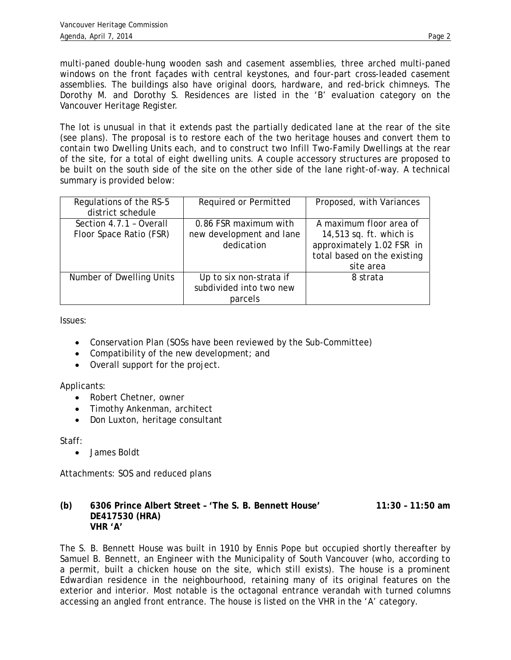multi-paned double-hung wooden sash and casement assemblies, three arched multi-paned windows on the front façades with central keystones, and four-part cross-leaded casement assemblies. The buildings also have original doors, hardware, and red-brick chimneys. The Dorothy M. and Dorothy S. Residences are listed in the 'B' evaluation category on the Vancouver Heritage Register.

The lot is unusual in that it extends past the partially dedicated lane at the rear of the site (see plans). The proposal is to restore each of the two heritage houses and convert them to contain two Dwelling Units each, and to construct two Infill Two-Family Dwellings at the rear of the site, for a total of eight dwelling units. A couple accessory structures are proposed to be built on the south side of the site on the other side of the lane right-of-way. A technical summary is provided below:

| Regulations of the RS-5<br>district schedule       | Required or Permitted                                           | Proposed, with Variances                                                                                                    |
|----------------------------------------------------|-----------------------------------------------------------------|-----------------------------------------------------------------------------------------------------------------------------|
| Section 4.7.1 - Overall<br>Floor Space Ratio (FSR) | 0.86 FSR maximum with<br>new development and lane<br>dedication | A maximum floor area of<br>14,513 sq. ft. which is<br>approximately 1.02 FSR in<br>total based on the existing<br>site area |
| Number of Dwelling Units                           | Up to six non-strata if<br>subdivided into two new<br>parcels   | 8 strata                                                                                                                    |

Issues:

- Conservation Plan (SOSs have been reviewed by the Sub-Committee)
- Compatibility of the new development; and
- Overall support for the project.

Applicants:

- Robert Chetner, owner
- Timothy Ankenman, architect
- Don Luxton, heritage consultant

Staff:

• James Boldt

Attachments: SOS and reduced plans

## **(b) 6306 Prince Albert Street – 'The S. B. Bennett House' 11:30 – 11:50 am DE417530 (HRA) VHR 'A'**

The S. B. Bennett House was built in 1910 by Ennis Pope but occupied shortly thereafter by Samuel B. Bennett, an Engineer with the Municipality of South Vancouver (who, according to a permit, built a chicken house on the site, which still exists). The house is a prominent Edwardian residence in the neighbourhood, retaining many of its original features on the exterior and interior. Most notable is the octagonal entrance verandah with turned columns accessing an angled front entrance. The house is listed on the VHR in the 'A' category.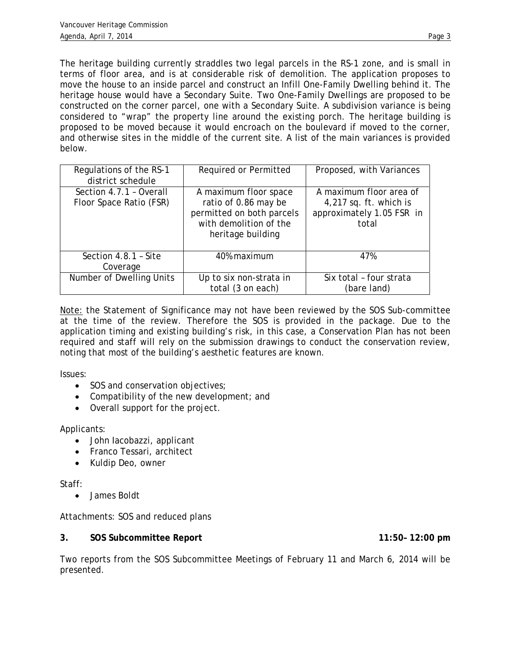The heritage building currently straddles two legal parcels in the RS-1 zone, and is small in terms of floor area, and is at considerable risk of demolition. The application proposes to move the house to an inside parcel and construct an Infill One-Family Dwelling behind it. The heritage house would have a Secondary Suite. Two One-Family Dwellings are proposed to be constructed on the corner parcel, one with a Secondary Suite. A subdivision variance is being considered to "wrap" the property line around the existing porch. The heritage building is proposed to be moved because it would encroach on the boulevard if moved to the corner, and otherwise sites in the middle of the current site. A list of the main variances is provided below.

| Regulations of the RS-1<br>district schedule       | Required or Permitted                                                                                                     | Proposed, with Variances                                                                  |
|----------------------------------------------------|---------------------------------------------------------------------------------------------------------------------------|-------------------------------------------------------------------------------------------|
| Section 4.7.1 - Overall<br>Floor Space Ratio (FSR) | A maximum floor space<br>ratio of 0.86 may be<br>permitted on both parcels<br>with demolition of the<br>heritage building | A maximum floor area of<br>$4,217$ sq. ft. which is<br>approximately 1.05 FSR in<br>total |
| Section 4.8.1 - Site<br>Coverage                   | 40% maximum                                                                                                               | 47%                                                                                       |
| Number of Dwelling Units                           | Up to six non-strata in<br>total (3 on each)                                                                              | Six total - four strata<br>(bare land)                                                    |

Note: the Statement of Significance may not have been reviewed by the SOS Sub-committee at the time of the review. Therefore the SOS is provided in the package. Due to the application timing and existing building's risk, in this case, a Conservation Plan has not been required and staff will rely on the submission drawings to conduct the conservation review, noting that most of the building's aesthetic features are known.

Issues:

- SOS and conservation objectives;
- Compatibility of the new development; and
- Overall support for the project.

Applicants:

- John Iacobazzi, applicant
- Franco Tessari, architect
- Kuldip Deo, owner

Staff:

• James Boldt

Attachments: SOS and reduced plans

## **3. SOS Subcommittee Report 11:50– 12:00 pm**

Two reports from the SOS Subcommittee Meetings of February 11 and March 6, 2014 will be presented.